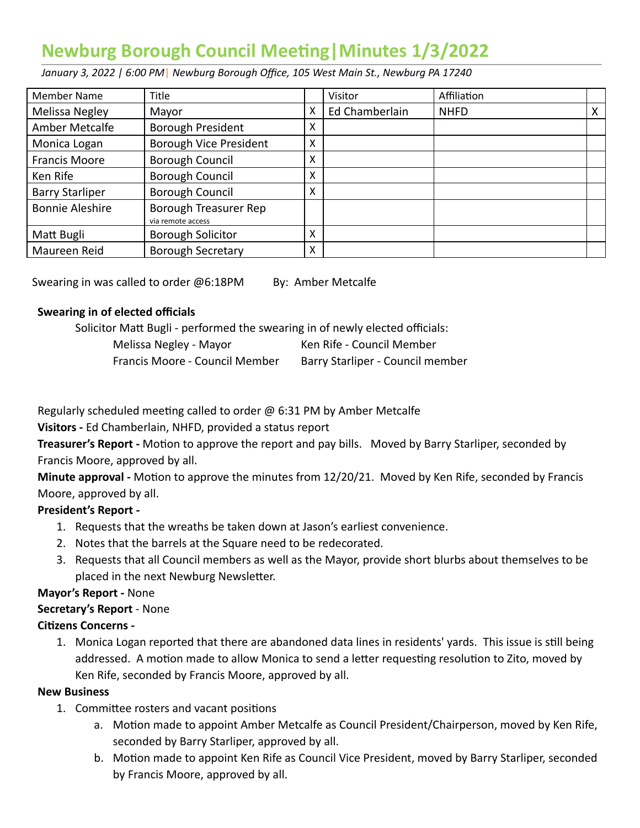# **Newburg Borough Council Meeng|Minutes 1/3/2022**

 *January 3, 2022 | 6:00 PM* | *Newburg Borough Office, 105 West Main St., Newburg PA 17240* 

|                        | Title                                      |   |                | Affiliation |   |
|------------------------|--------------------------------------------|---|----------------|-------------|---|
| Member Name            |                                            |   | Visitor        |             |   |
| Melissa Negley         | Mayor                                      | X | Ed Chamberlain | <b>NHFD</b> | х |
| Amber Metcalfe         | <b>Borough President</b>                   | X |                |             |   |
| Monica Logan           | <b>Borough Vice President</b>              | X |                |             |   |
| <b>Francis Moore</b>   | Borough Council                            | X |                |             |   |
| Ken Rife               | Borough Council                            | X |                |             |   |
| <b>Barry Starliper</b> | Borough Council                            | X |                |             |   |
| <b>Bonnie Aleshire</b> | Borough Treasurer Rep<br>via remote access |   |                |             |   |
| Matt Bugli             | <b>Borough Solicitor</b>                   | X |                |             |   |
| Maureen Reid           | <b>Borough Secretary</b>                   | X |                |             |   |

Swearing in was called to order @6:18PM By: Amber Metcalfe

#### **Swearing in of elected officials**

Solicitor Matt Bugli - performed the swearing in of newly elected officials:

| Melissa Negley - Mayor         | Ken Rife - Council Member        |
|--------------------------------|----------------------------------|
| Francis Moore - Council Member | Barry Starliper - Council member |

Regularly scheduled meeting called to order  $\omega$  6:31 PM by Amber Metcalfe

 **Visitors -** Ed Chamberlain, NHFD, provided a status report

**Treasurer's Report -** Motion to approve the report and pay bills. Moved by Barry Starliper, seconded by Francis Moore, approved by all.

**Minute approval -** Motion to approve the minutes from 12/20/21. Moved by Ken Rife, seconded by Francis Moore, approved by all.

#### **President's Report -**

- 1. Requests that the wreaths be taken down at Jason's earliest convenience.
- 2. Notes that the barrels at the Square need to be redecorated.
- 3. Requests that all Council members as well as the Mayor, provide short blurbs about themselves to be placed in the next Newburg Newsletter.

# **Mayor's Report -** None

#### **Secretary's Report** - None

#### **Citizens Concerns -**

1. Monica Logan reported that there are abandoned data lines in residents' yards. This issue is still being addressed. A motion made to allow Monica to send a letter requesting resolution to Zito, moved by Ken Rife, seconded by Francis Moore, approved by all.

#### **New Business**

- 1. Committee rosters and vacant positions
	- a. Motion made to appoint Amber Metcalfe as Council President/Chairperson, moved by Ken Rife, seconded by Barry Starliper, approved by all.
	- b. Motion made to appoint Ken Rife as Council Vice President, moved by Barry Starliper, seconded by Francis Moore, approved by all.